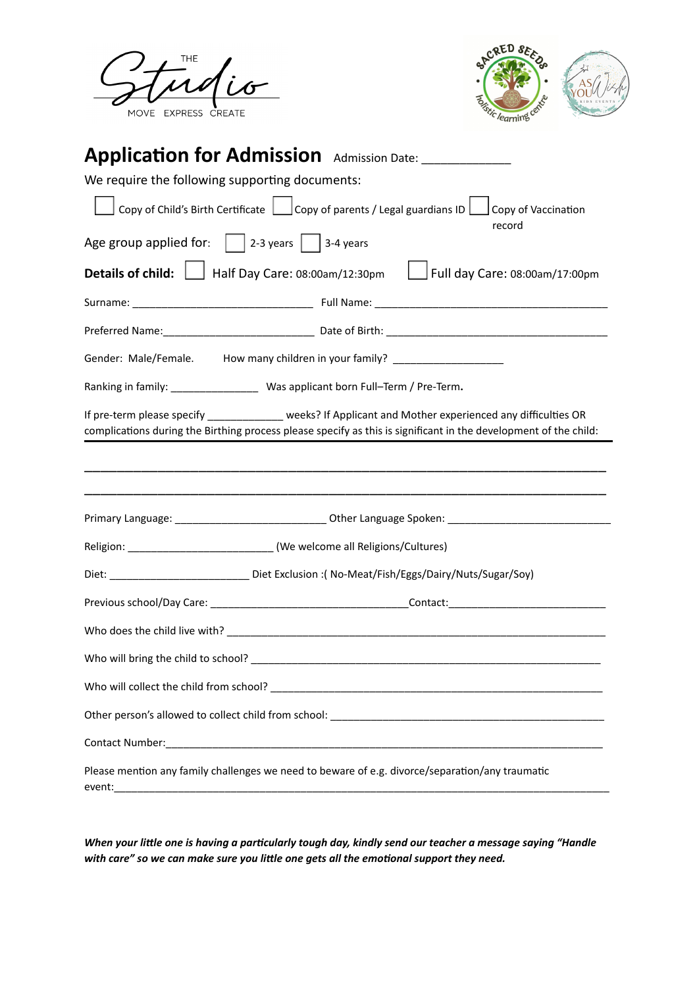



# **Applicaon for Admission** Admission Date: \_\_\_\_\_\_\_\_\_\_\_\_\_\_ We require the following supporting documents: Copy of Child's Birth Certificate  $\Box$  Copy of parents / Legal guardians ID  $\Box$  Copy of Vaccination record Age group applied for:  $\Box$  2-3 years  $\Box$  3-4 years **Details of child:** Half Day Care: 08:00am/12:30pm Full day Care: 08:00am/17:00pm Surname: \_\_\_\_\_\_\_\_\_\_\_\_\_\_\_\_\_\_\_\_\_\_\_\_\_\_\_\_\_\_\_ Full Name: \_\_\_\_\_\_\_\_\_\_\_\_\_\_\_\_\_\_\_\_\_\_\_\_\_\_\_\_\_\_\_\_\_\_\_\_\_\_\_\_ Preferred Name:\_\_\_\_\_\_\_\_\_\_\_\_\_\_\_\_\_\_\_\_\_\_\_\_\_\_ Date of Birth: \_\_\_\_\_\_\_\_\_\_\_\_\_\_\_\_\_\_\_\_\_\_\_\_\_\_\_\_\_\_\_\_\_\_\_\_\_\_ Gender: Male/Female. How many children in your family? \_\_\_\_\_\_\_\_\_\_\_\_\_\_\_\_\_\_\_\_\_\_\_\_\_ Ranking in family: \_\_\_\_\_\_\_\_\_\_\_\_\_\_\_ Was applicant born Full–Term / Pre-Term**.** If pre-term please specify \_\_\_\_\_\_\_\_\_\_\_\_\_\_ weeks? If Applicant and Mother experienced any difficulties OR complications during the Birthing process please specify as this is significant in the development of the child: \_\_\_\_\_\_\_\_\_\_\_\_\_\_\_\_\_\_\_\_\_\_\_\_\_\_\_\_\_\_\_\_\_\_\_\_\_\_\_\_\_\_\_\_\_\_\_\_\_\_\_\_\_\_\_\_\_\_\_\_\_\_\_\_ \_\_\_\_\_\_\_\_\_\_\_\_\_\_\_\_\_\_\_\_\_\_\_\_\_\_\_\_\_\_\_\_\_\_\_\_\_\_\_\_\_\_\_\_\_\_\_\_\_\_\_\_\_\_\_\_\_\_\_\_\_\_\_\_ Primary Language: \_\_\_\_\_\_\_\_\_\_\_\_\_\_\_\_\_\_\_\_\_\_\_\_\_\_ Other Language Spoken: \_\_\_\_\_\_\_\_\_\_\_\_\_\_\_\_\_\_\_\_\_\_\_\_\_\_\_\_ Religion: \_\_\_\_\_\_\_\_\_\_\_\_\_\_\_\_\_\_\_\_\_\_\_\_\_\_\_\_\_\_\_\_(We welcome all Religions/Cultures) Diet: \_\_\_\_\_\_\_\_\_\_\_\_\_\_\_\_\_\_\_\_\_\_\_\_\_\_\_\_\_\_\_\_\_\_Diet Exclusion :( No-Meat/Fish/Eggs/Dairy/Nuts/Sugar/Soy) Previous school/Day Care: \_\_\_\_\_\_\_\_\_\_\_\_\_\_\_\_\_\_\_\_\_\_\_\_\_\_\_\_\_\_\_\_\_\_Contact:\_\_\_\_\_\_\_\_\_\_\_\_\_\_\_\_\_\_\_\_\_\_\_\_\_\_\_ Who does the child live with?  $\blacksquare$ Who will bring the child to school? \_\_\_\_\_\_\_\_\_\_\_\_\_\_\_\_\_\_\_\_\_\_\_\_\_\_\_\_\_\_\_\_\_\_\_\_\_\_\_\_\_\_\_\_\_\_\_\_\_\_\_\_\_\_\_\_\_\_\_\_ Who will collect the child from school?  $\blacksquare$ Other person's allowed to collect child from school: \_\_\_\_\_\_\_\_\_\_\_\_\_\_\_\_\_\_\_\_\_\_\_\_\_\_\_\_\_\_\_\_\_\_\_\_\_\_\_\_\_\_\_\_\_\_\_ Contact Number: Please mention any family challenges we need to beware of e.g. divorce/separation/any traumatic event:\_\_\_\_\_\_\_\_\_\_\_\_\_\_\_\_\_\_\_\_\_\_\_\_\_\_\_\_\_\_\_\_\_\_\_\_\_\_\_\_\_\_\_\_\_\_\_\_\_\_\_\_\_\_\_\_\_\_\_\_\_\_\_\_\_\_\_\_\_\_\_\_\_\_\_\_\_\_\_\_\_\_\_\_\_

When your little one is having a particularly tough day, kindly send our teacher a message saying "Handle *with care" so we can make sure you lile one gets all the emoonal support they need.*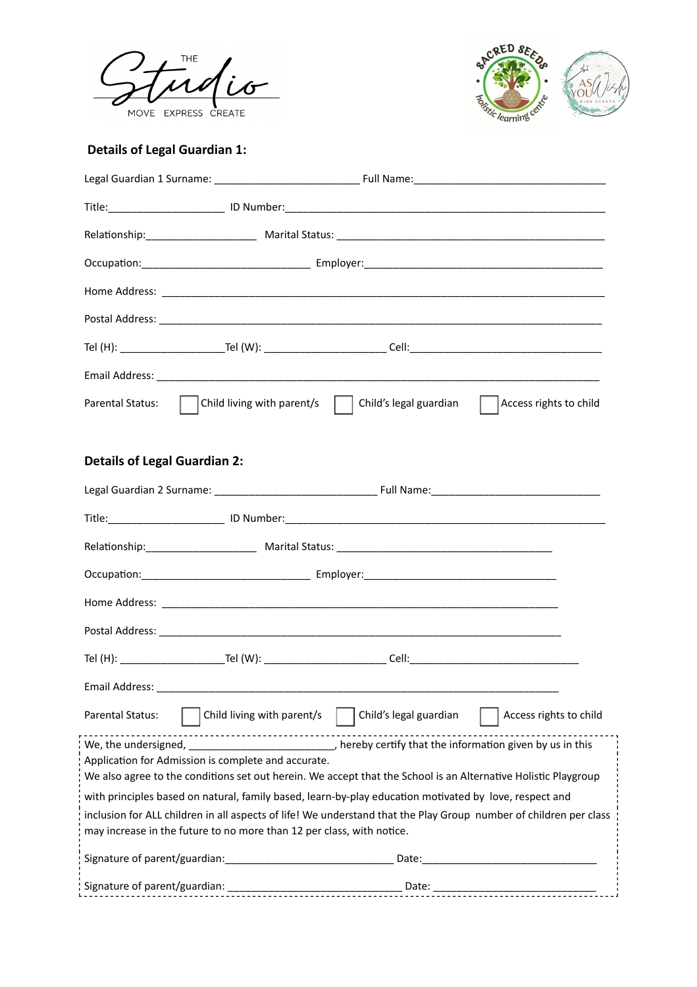



# **Details of Legal Guardian 1:**

| Parental Status:                                                                                                  | Child living with parent/s   Child's legal guardian                                                            |                        | Access rights to child<br>$\vert \ \vert$ |  |  |
|-------------------------------------------------------------------------------------------------------------------|----------------------------------------------------------------------------------------------------------------|------------------------|-------------------------------------------|--|--|
|                                                                                                                   |                                                                                                                |                        |                                           |  |  |
| <b>Details of Legal Guardian 2:</b>                                                                               |                                                                                                                |                        |                                           |  |  |
|                                                                                                                   |                                                                                                                |                        |                                           |  |  |
|                                                                                                                   |                                                                                                                |                        |                                           |  |  |
|                                                                                                                   |                                                                                                                |                        |                                           |  |  |
|                                                                                                                   |                                                                                                                |                        |                                           |  |  |
|                                                                                                                   |                                                                                                                |                        |                                           |  |  |
|                                                                                                                   |                                                                                                                |                        |                                           |  |  |
|                                                                                                                   |                                                                                                                |                        |                                           |  |  |
|                                                                                                                   |                                                                                                                |                        |                                           |  |  |
| <b>Parental Status:</b>                                                                                           | Child living with parent/s                                                                                     | Child's legal guardian | Access rights to child                    |  |  |
|                                                                                                                   | We, the undersigned, ______________________________, hereby certify that the information given by us in this   |                        |                                           |  |  |
|                                                                                                                   | Application for Admission is complete and accurate.                                                            |                        |                                           |  |  |
|                                                                                                                   | We also agree to the conditions set out herein. We accept that the School is an Alternative Holistic Playgroup |                        |                                           |  |  |
| with principles based on natural, family based, learn-by-play education motivated by love, respect and            |                                                                                                                |                        |                                           |  |  |
| inclusion for ALL children in all aspects of life! We understand that the Play Group number of children per class |                                                                                                                |                        |                                           |  |  |
|                                                                                                                   | may increase in the future to no more than 12 per class, with notice.                                          |                        |                                           |  |  |
|                                                                                                                   |                                                                                                                |                        |                                           |  |  |
|                                                                                                                   |                                                                                                                |                        |                                           |  |  |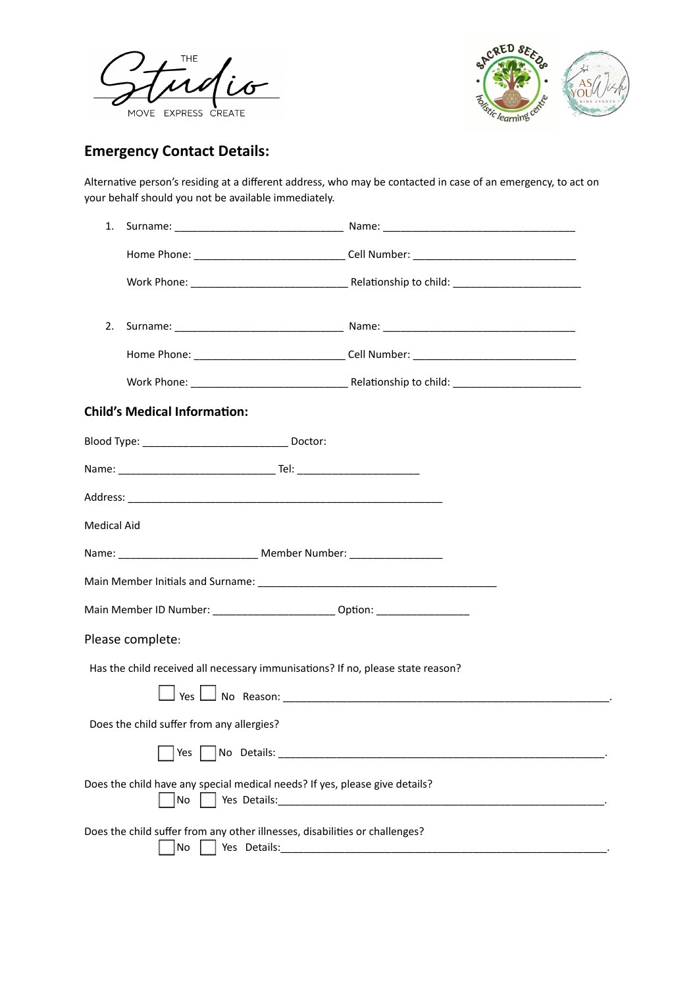



# **Emergency Contact Details:**

Alternative person's residing at a different address, who may be contacted in case of an emergency, to act on your behalf should you not be available immediately.

| 1.                                        |                                                                                                                                                                                                                                                                                                              |
|-------------------------------------------|--------------------------------------------------------------------------------------------------------------------------------------------------------------------------------------------------------------------------------------------------------------------------------------------------------------|
|                                           |                                                                                                                                                                                                                                                                                                              |
|                                           |                                                                                                                                                                                                                                                                                                              |
| 2.                                        |                                                                                                                                                                                                                                                                                                              |
|                                           |                                                                                                                                                                                                                                                                                                              |
|                                           |                                                                                                                                                                                                                                                                                                              |
| <b>Child's Medical Information:</b>       |                                                                                                                                                                                                                                                                                                              |
|                                           |                                                                                                                                                                                                                                                                                                              |
|                                           |                                                                                                                                                                                                                                                                                                              |
|                                           |                                                                                                                                                                                                                                                                                                              |
| <b>Medical Aid</b>                        |                                                                                                                                                                                                                                                                                                              |
|                                           | Name: __________________________________ Member Number: ________________________                                                                                                                                                                                                                             |
|                                           |                                                                                                                                                                                                                                                                                                              |
|                                           | Main Member ID Number: _______________________________ Option: _________________                                                                                                                                                                                                                             |
| Please complete:                          |                                                                                                                                                                                                                                                                                                              |
|                                           | Has the child received all necessary immunisations? If no, please state reason?                                                                                                                                                                                                                              |
|                                           |                                                                                                                                                                                                                                                                                                              |
| Does the child suffer from any allergies? |                                                                                                                                                                                                                                                                                                              |
| Yes                                       |                                                                                                                                                                                                                                                                                                              |
| $No$                                      | Does the child have any special medical needs? If yes, please give details?                                                                                                                                                                                                                                  |
| No                                        | Does the child suffer from any other illnesses, disabilities or challenges?<br>Yes Details: New York Product of the Contract of the Contract of the Contract of the Contract of the Contract of the Contract of the Contract of the Contract of the Contract of the Contract of the Contract of the Contract |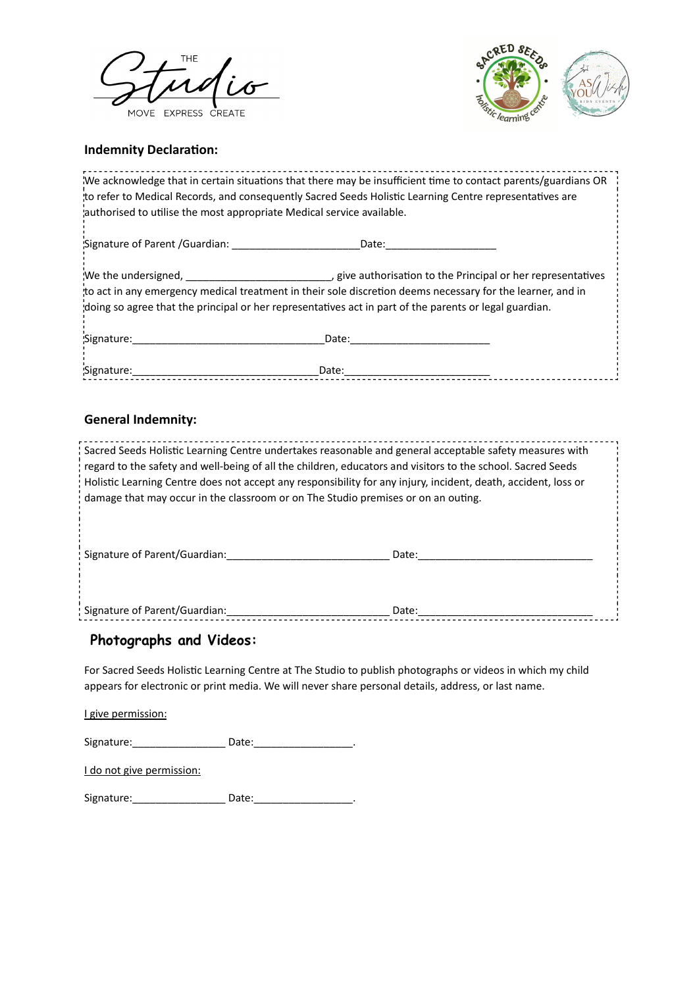



#### **Indemnity Declaration:**

| We acknowledge that in certain situations that there may be insufficient time to contact parents/guardians OR |                                                                                                                                                                                                                                                                                                                                                                                                          |
|---------------------------------------------------------------------------------------------------------------|----------------------------------------------------------------------------------------------------------------------------------------------------------------------------------------------------------------------------------------------------------------------------------------------------------------------------------------------------------------------------------------------------------|
|                                                                                                               |                                                                                                                                                                                                                                                                                                                                                                                                          |
|                                                                                                               |                                                                                                                                                                                                                                                                                                                                                                                                          |
|                                                                                                               |                                                                                                                                                                                                                                                                                                                                                                                                          |
|                                                                                                               |                                                                                                                                                                                                                                                                                                                                                                                                          |
|                                                                                                               | to refer to Medical Records, and consequently Sacred Seeds Holistic Learning Centre representatives are<br>authorised to utilise the most appropriate Medical service available.<br>to act in any emergency medical treatment in their sole discretion deems necessary for the learner, and in<br>doing so agree that the principal or her representatives act in part of the parents or legal guardian. |

#### **General Indemnity:**

Sacred Seeds Holistic Learning Centre undertakes reasonable and general acceptable safety measures with regard to the safety and well-being of all the children, educators and visitors to the school. Sacred Seeds Holistic Learning Centre does not accept any responsibility for any injury, incident, death, accident, loss or damage that may occur in the classroom or on The Studio premises or on an outing.

Signature of Parent/Guardian:\_\_\_\_\_\_\_\_\_\_\_\_\_\_\_\_\_\_\_\_\_\_\_\_\_\_\_\_ Date:\_\_\_\_\_\_\_\_\_\_\_\_\_\_\_\_\_\_\_\_\_\_\_\_\_\_\_\_\_\_

Signature of Parent/Guardian:\_\_\_\_\_\_\_\_\_\_\_\_\_\_\_\_\_\_\_\_\_\_\_\_\_\_\_\_ Date:\_\_\_\_\_\_\_\_\_\_\_\_\_\_\_\_\_\_\_\_\_\_\_\_\_\_\_\_\_\_

#### **Photographs and Videos:**

For Sacred Seeds Holistic Learning Centre at The Studio to publish photographs or videos in which my child appears for electronic or print media. We will never share personal details, address, or last name.

I give permission:

Signature: \_\_\_\_\_\_\_\_\_\_\_\_\_\_\_\_\_\_\_\_\_ Date: \_\_\_\_\_\_\_\_\_\_\_\_\_\_\_\_\_\_\_\_\_.

I do not give permission:

Signature:\_\_\_\_\_\_\_\_\_\_\_\_\_\_\_\_\_\_\_\_\_\_\_ Date:\_\_\_\_\_\_\_\_\_\_\_\_\_\_\_\_\_\_\_\_\_\_\_\_\_\_.